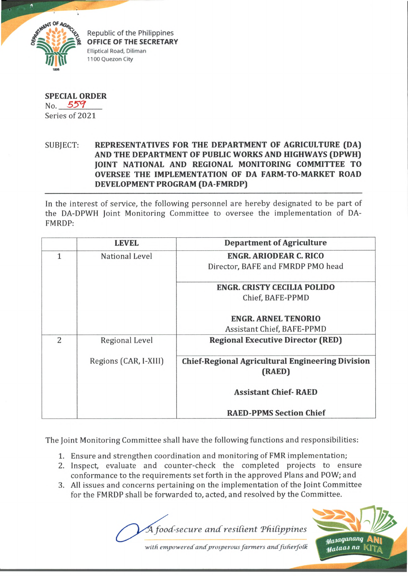

Republic of the Philippines **OFFICE OF THE SECRETARY** Elliptical Road, Diliman 1100 Quezon City

**SPECIAL ORDER** No.  $559$ Series of 2021

## SUBJECT: **REPRESENTATIVES FOR THE DEPARTMENT OF AGRICULTURE (DA) AND THE DEPARTMENT OF PUBLIC WORKS AND HIGHWAYS (DPWH) JOINT NATIONAL AND REGIONAL MONITORING COMMITTEE TO OVERSEE THE IMPLEMENTATION OF DA FARM-TO-MARKET ROAD DEVELOPMENT PROGRAM (DA-FMRDP)**

In the interest of service, the following personnel are hereby designated to be part of the DA-DPWH Joint Monitoring Committee to oversee the implementation of DA-FMRDP:

|   | <b>LEVEL</b>          | <b>Department of Agriculture</b>                        |
|---|-----------------------|---------------------------------------------------------|
|   | National Level        | <b>ENGR. ARIODEAR C. RICO</b>                           |
|   |                       | Director, BAFE and FMRDP PMO head                       |
|   |                       |                                                         |
|   |                       | <b>ENGR. CRISTY CECILIA POLIDO</b>                      |
|   |                       | Chief, BAFE-PPMD                                        |
|   |                       | <b>ENGR. ARNEL TENORIO</b>                              |
|   |                       |                                                         |
|   |                       | Assistant Chief, BAFE-PPMD                              |
| 2 | Regional Level        | <b>Regional Executive Director (RED)</b>                |
|   |                       |                                                         |
|   | Regions (CAR, I-XIII) | <b>Chief-Regional Agricultural Engineering Division</b> |
|   |                       | (RAED)                                                  |
|   |                       |                                                         |
|   |                       | <b>Assistant Chief-RAED</b>                             |
|   |                       |                                                         |
|   |                       | <b>RAED-PPMS Section Chief</b>                          |

The Joint Monitoring Committee shall have the following functions and responsibilities:

- 1. Ensure and strengthen coordination and monitoring of FMR implementation;
- 2. Inspect, evaluate and counter-check the completed projects to ensure conformance to the requirements set forth in the approved Plans and POW; and
- 3. All issues and concerns pertaining on the implementation of the Joint Committee for the FMRDP shall be forwarded to, acted, and resolved by the Committee.

*food-secure a n d resident TfiiCippines*



with empowered and prosperous farmers and fisherfolk